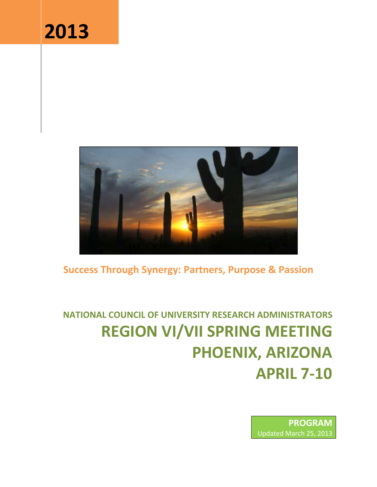# **2013**



# **Success Through Synergy: Partners, Purpose & Passion**

**NATIONAL COUNCIL OF UNIVERSITY RESEARCH ADMINISTRATORS REGION VI/VII SPRING MEETING PHOENIX, ARIZONA APRIL 7‐10**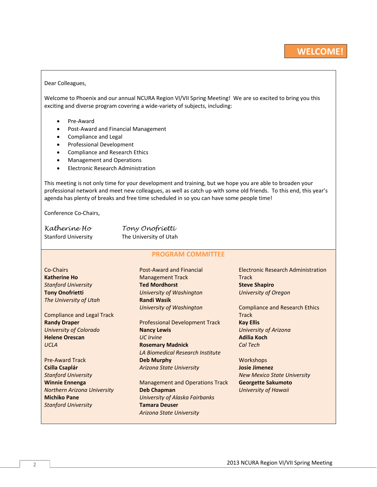#### Dear Colleagues,

Welcome to Phoenix and our annual NCURA Region VI/VII Spring Meeting! We are so excited to bring you this exciting and diverse program covering a wide‐variety of subjects, including:

- Pre-Award
- Post-Award and Financial Management
- Compliance and Legal
- **•** Professional Development
- Compliance and Research Ethics
- Management and Operations
- **•** Electronic Research Administration

This meeting is not only time for your development and training, but we hope you are able to broaden your professional network and meet new colleagues, as well as catch up with some old friends. To this end, this year's agenda has plenty of breaks and free time scheduled in so you can have some people time!

Conference Co‐Chairs,

| Katheríne Ho               | Tony Onofrietti        |
|----------------------------|------------------------|
| <b>Stanford University</b> | The University of Utah |

#### **PROGRAM COMMITTEE**

Co‐Chairs **Katherine Ho** *Stanford University* **Tony Onofrietti** *The University of Utah*

Compliance and Legal Track **Randy Draper** *University of Colorado* **Helene Orescan** *UCLA*

Pre‐Award Track **Csilla Csaplár** *Stanford University* **Winnie Ennenga** *Northern Arizona University* **Michiko Pane** *Stanford University*

Post‐Award and Financial Management Track **Ted Mordhorst** *University of Washington* **Randi Wasik** *University of Washington*

Professional Development Track **Nancy Lewis** *UC Irvine* **Rosemary Madnick** *LA Biomedical Research Institute* **Deb Murphy** *Arizona State University*

Management and Operations Track **Deb Chapman** *University of Alaska Fairbanks* **Tamara Deuser** *Arizona State University*

Electronic Research Administration **Track Steve Shapiro** *University of Oregon*

Compliance and Research Ethics **Track Kay Ellis** *University of Arizona* **Adilia Koch** *Cal Tech*

**Workshops Josie Jimenez** *New Mexico State University* **Georgette Sakumoto** *University of Hawaii*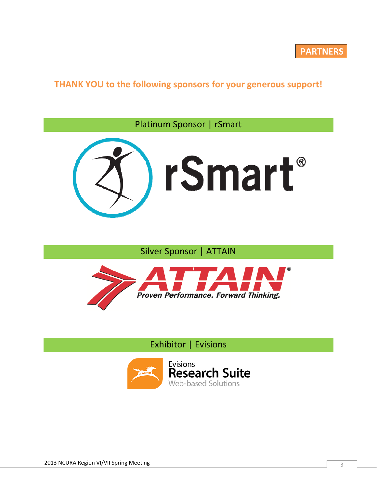**THANK YOU to the following sponsors for your generous support!**

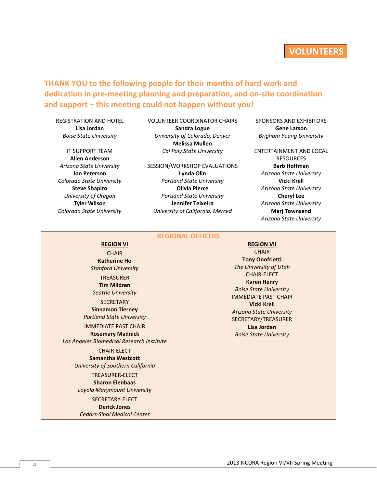# **VOLUNTEERS**

**THANK YOU to the following people for their months of hard work and dedication in pre‐meeting planning and preparation, and on‐site coordination and support – this meeting could not happen without you!** 

REGISTRATION AND HOTEL **Lisa Jordan** *Boise State University*

#### IT SUPPORT TEAM **Allen Anderson** *Arizona State University*

**Jon Peterson** *Colorado State University* **Steve Shapiro** *University of Oregon* **Tyler Wilson** *Colorado State University* VOLUNTEER COORDINATOR CHAIRS **Sandra Logue** *University of Colorado, Denver* **Melissa Mullen** *Cal Poly State University*

SESSION/WORKSHOP EVALUATIONS **Lynda Olin** *Portland State University* **Olivia Pierce** *Portland State University* **Jennifer Teixeira**  *University of California, Merced*

**REGIONAL OFFICERS**

**CHAIR Tony Onofrietti** *The University of Utah* CHAIR‐ELECT **Karen Henry** *Boise State University* IMMEDIATE PAST CHAIR **Vicki Krell** *Arizona State University* SECRETARY/TREASURER **Lisa Jordan** *Boise State University*

**REGION VI REGION VII**

**CHAIR Katherine Ho** *Stanford University* **TREASURER Tim Mildren** *Seattle University* **SECRETARY** 

**Sinnamon Tierney** *Portland State University* IMMEDIATE PAST CHAIR

**Rosemary Madnick** *Los Angeles Biomedical Research Institute*

> CHAIR‐ELECT **Samantha Westcott** *University of Southern California*

TREASURER‐ELECT **Sharon Elenbaas** *Loyola Marymount University* SECRETARY‐ELECT

#### **Derick Jones**

*Cedars‐Sinai Medical Center*

SPONSORS AND EXHIBITORS **Gene Larson** *Brigham Young University*

ENTERTAINMENT AND LOCAL RESOURCES **Barb Hoffman** *Arizona State University* **Vicki Krell** *Arizona State University* **Cheryl Lee** *Arizona State University* **Marj Townsend** *Arizona State University*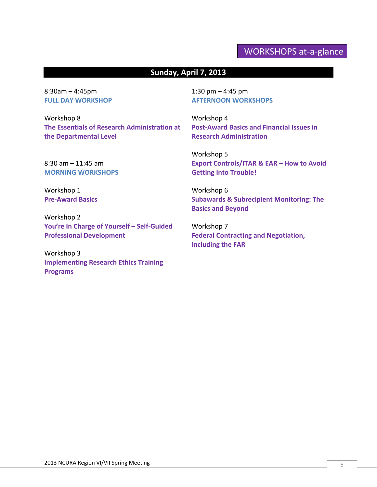# WORKSHOPS at‐a‐glance

# **Sunday, April 7, 2013**

8:30am – 4:45pm **FULL DAY WORKSHOP**

Workshop 8 **The Essentials of Research Administration at the Departmental Level**

8:30 am – 11:45 am **MORNING WORKSHOPS**

Workshop 1 **Pre‐Award Basics**

Workshop 2 **You're In Charge of Yourself – Self‐Guided Professional Development**

Workshop 3 **Implementing Research Ethics Training Programs**

1:30 pm – 4:45 pm **AFTERNOON WORKSHOPS**

Workshop 4 **Post‐Award Basics and Financial Issues in Research Administration**

Workshop 5 **Export Controls/ITAR & EAR – How to Avoid Getting Into Trouble!**

Workshop 6 **Subawards & Subrecipient Monitoring: The Basics and Beyond**

Workshop 7 **Federal Contracting and Negotiation, Including the FAR**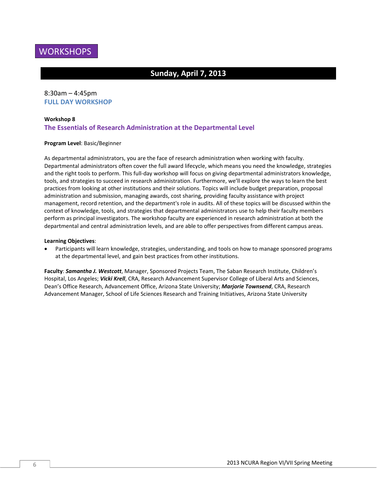

# **Sunday, April 7, 2013**

# 8:30am – 4:45pm **FULL DAY WORKSHOP**

#### **Workshop 8**

#### **The Essentials of Research Administration at the Departmental Level**

#### **Program Level**: Basic/Beginner

As departmental administrators, you are the face of research administration when working with faculty. Departmental administrators often cover the full award lifecycle, which means you need the knowledge, strategies and the right tools to perform. This full‐day workshop will focus on giving departmental administrators knowledge, tools, and strategies to succeed in research administration. Furthermore, we'll explore the ways to learn the best practices from looking at other institutions and their solutions. Topics will include budget preparation, proposal administration and submission, managing awards, cost sharing, providing faculty assistance with project management, record retention, and the department's role in audits. All of these topics will be discussed within the context of knowledge, tools, and strategies that departmental administrators use to help their faculty members perform as principal investigators. The workshop faculty are experienced in research administration at both the departmental and central administration levels, and are able to offer perspectives from different campus areas.

#### **Learning Objectives**:

 Participants will learn knowledge, strategies, understanding, and tools on how to manage sponsored programs at the departmental level, and gain best practices from other institutions.

**Faculty**: *Samantha J. Westcott*, Manager, Sponsored Projects Team, The Saban Research Institute, Children's Hospital, Los Angeles; *Vicki Krell*, CRA, Research Advancement Supervisor College of Liberal Arts and Sciences, Dean's Office Research, Advancement Office, Arizona State University; *Marjorie Townsend*, CRA, Research Advancement Manager, School of Life Sciences Research and Training Initiatives, Arizona State University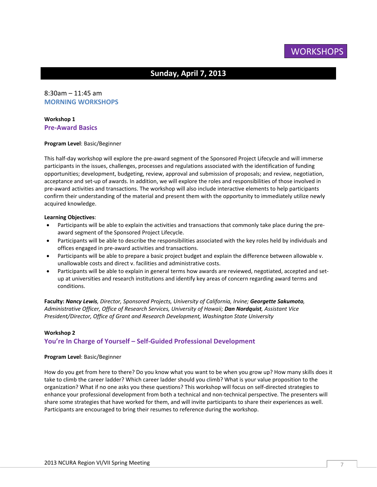**WORKSHOPS** 

# **Sunday, April 7, 2013**

# 8:30am – 11:45 am **MORNING WORKSHOPS**

#### **Workshop 1 Pre‐Award Basics**

#### **Program Level**: Basic/Beginner

This half‐day workshop will explore the pre‐award segment of the Sponsored Project Lifecycle and will immerse participants in the issues, challenges, processes and regulations associated with the identification of funding opportunities; development, budgeting, review, approval and submission of proposals; and review, negotiation, acceptance and set‐up of awards. In addition, we will explore the roles and responsibilities of those involved in pre‐award activities and transactions. The workshop will also include interactive elements to help participants confirm their understanding of the material and present them with the opportunity to immediately utilize newly acquired knowledge.

#### **Learning Objectives**:

- Participants will be able to explain the activities and transactions that commonly take place during the pre‐ award segment of the Sponsored Project Lifecycle.
- Participants will be able to describe the responsibilities associated with the key roles held by individuals and offices engaged in pre‐award activities and transactions.
- Participants will be able to prepare a basic project budget and explain the difference between allowable v. unallowable costs and direct v. facilities and administrative costs.
- Participants will be able to explain in general terms how awards are reviewed, negotiated, accepted and setup at universities and research institutions and identify key areas of concern regarding award terms and conditions.

**Faculty:** *Nancy Lewis, Director, Sponsored Projects, University of California, Irvine; Georgette Sakumoto, Administrative Officer, Office of Research Services, University of Hawaii; Dan Nordquist, Assistant Vice President/Director, Office of Grant and Research Development, Washington State University*

#### **Workshop 2**

#### **You're In Charge of Yourself – Self‐Guided Professional Development**

#### **Program Level**: Basic/Beginner

How do you get from here to there? Do you know what you want to be when you grow up? How many skills does it take to climb the career ladder? Which career ladder should you climb? What is your value proposition to the organization? What if no one asks you these questions? This workshop will focus on self‐directed strategies to enhance your professional development from both a technical and non-technical perspective. The presenters will share some strategies that have worked for them, and will invite participants to share their experiences as well. Participants are encouraged to bring their resumes to reference during the workshop.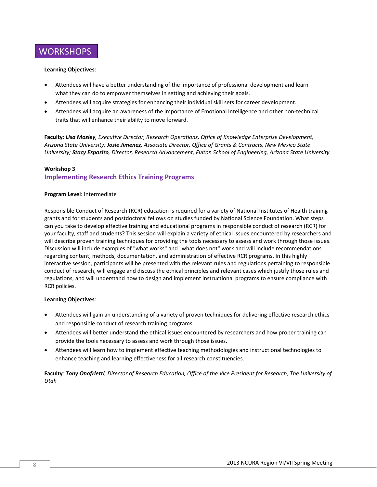

#### **Learning Objectives**:

- Attendees will have a better understanding of the importance of professional development and learn what they can do to empower themselves in setting and achieving their goals.
- Attendees will acquire strategies for enhancing their individual skill sets for career development.
- Attendees will acquire an awareness of the importance of Emotional Intelligence and other non‐technical traits that will enhance their ability to move forward.

**Faculty**: *Lisa Mosley, Executive Director, Research Operations, Office of Knowledge Enterprise Development, Arizona State University; Josie Jimenez, Associate Director, Office of Grants & Contracts, New Mexico State University; Stacy Esposito, Director, Research Advancement, Fulton School of Engineering, Arizona State University*

#### **Workshop 3 Implementing Research Ethics Training Programs**

#### **Program Level**: Intermediate

Responsible Conduct of Research (RCR) education is required for a variety of National Institutes of Health training grants and for students and postdoctoral fellows on studies funded by National Science Foundation. What steps can you take to develop effective training and educational programs in responsible conduct of research (RCR) for your faculty, staff and students? This session will explain a variety of ethical issues encountered by researchers and will describe proven training techniques for providing the tools necessary to assess and work through those issues. Discussion will include examples of "what works" and "what does not" work and will include recommendations regarding content, methods, documentation, and administration of effective RCR programs. In this highly interactive session, participants will be presented with the relevant rules and regulations pertaining to responsible conduct of research, will engage and discuss the ethical principles and relevant cases which justify those rules and regulations, and will understand how to design and implement instructional programs to ensure compliance with RCR policies.

#### **Learning Objectives**:

- Attendees will gain an understanding of a variety of proven techniques for delivering effective research ethics and responsible conduct of research training programs.
- Attendees will better understand the ethical issues encountered by researchers and how proper training can provide the tools necessary to assess and work through those issues.
- Attendees will learn how to implement effective teaching methodologies and instructional technologies to enhance teaching and learning effectiveness for all research constituencies.

Faculty: Tony Onofrietti, Director of Research Education, Office of the Vice President for Research, The University of *Utah*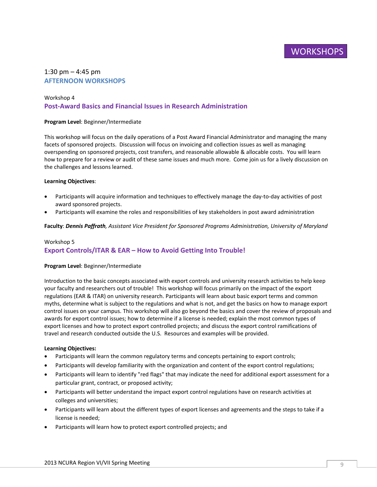# **WORKSHOPS**

#### 1:30 pm  $-$  4:45 pm **AFTERNOON WORKSHOPS**

# Workshop 4 **Post‐Award Basics and Financial Issues in Research Administration**

#### **Program Level**: Beginner/Intermediate

This workshop will focus on the daily operations of a Post Award Financial Administrator and managing the many facets of sponsored projects. Discussion will focus on invoicing and collection issues as well as managing overspending on sponsored projects, cost transfers, and reasonable allowable & allocable costs. You will learn how to prepare for a review or audit of these same issues and much more. Come join us for a lively discussion on the challenges and lessons learned.

#### **Learning Objectives**:

- Participants will acquire information and techniques to effectively manage the day‐to‐day activities of post award sponsored projects.
- Participants will examine the roles and responsibilities of key stakeholders in post award administration

**Faculty**: *Dennis Paffrath, Assistant Vice President for Sponsored Programs Administration, University of Maryland*

# Workshop 5 **Export Controls/ITAR & EAR – How to Avoid Getting Into Trouble!**

#### **Program Level**: Beginner/Intermediate

Introduction to the basic concepts associated with export controls and university research activities to help keep your faculty and researchers out of trouble! This workshop will focus primarily on the impact of the export regulations (EAR & ITAR) on university research. Participants will learn about basic export terms and common myths, determine what is subject to the regulations and what is not, and get the basics on how to manage export control issues on your campus. This workshop will also go beyond the basics and cover the review of proposals and awards for export control issues; how to determine if a license is needed; explain the most common types of export licenses and how to protect export controlled projects; and discuss the export control ramifications of travel and research conducted outside the U.S. Resources and examples will be provided.

#### **Learning Objectives:**

- Participants will learn the common regulatory terms and concepts pertaining to export controls;
- Participants will develop familiarity with the organization and content of the export control regulations;
- Participants will learn to identify "red flags" that may indicate the need for additional export assessment for a particular grant, contract, or proposed activity;
- Participants will better understand the impact export control regulations have on research activities at colleges and universities;
- Participants will learn about the different types of export licenses and agreements and the steps to take if a license is needed;
- Participants will learn how to protect export controlled projects; and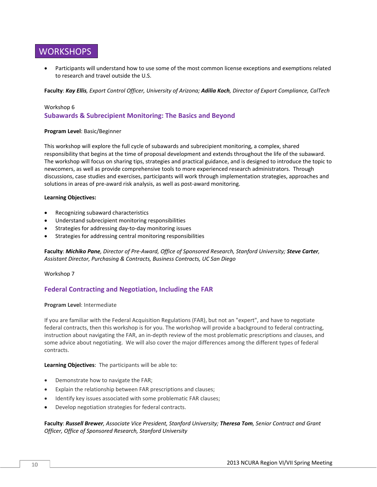# **WORKSHOPS**

 Participants will understand how to use some of the most common license exceptions and exemptions related to research and travel outside the U.S.

Faculty: Kay Ellis, Export Control Officer, University of Arizona; Adilia Koch, Director of Export Compliance, CalTech

# Workshop 6 **Subawards & Subrecipient Monitoring: The Basics and Beyond**

#### **Program Level**: Basic/Beginner

This workshop will explore the full cycle of subawards and subrecipient monitoring, a complex, shared responsibility that begins at the time of proposal development and extends throughout the life of the subaward. The workshop will focus on sharing tips, strategies and practical guidance, and is designed to introduce the topic to newcomers, as well as provide comprehensive tools to more experienced research administrators. Through discussions, case studies and exercises, participants will work through implementation strategies, approaches and solutions in areas of pre-award risk analysis, as well as post-award monitoring.

#### **Learning Objectives:**

- Recognizing subaward characteristics
- Understand subrecipient monitoring responsibilities
- Strategies for addressing day‐to‐day monitoring issues
- Strategies for addressing central monitoring responsibilities

Faculty: Michiko Pane, Director of Pre-Award, Office of Sponsored Research, Stanford University; Steve Carter, *Assistant Director, Purchasing & Contracts, Business Contracts, UC San Diego*

Workshop 7

# **Federal Contracting and Negotiation, Including the FAR**

#### **Program Level**: Intermediate

If you are familiar with the Federal Acquisition Regulations (FAR), but not an "expert", and have to negotiate federal contracts, then this workshop is for you. The workshop will provide a background to federal contracting, instruction about navigating the FAR, an in‐depth review of the most problematic prescriptions and clauses, and some advice about negotiating. We will also cover the major differences among the different types of federal contracts.

**Learning Objectives**: The participants will be able to:

- Demonstrate how to navigate the FAR;
- Explain the relationship between FAR prescriptions and clauses;
- Identify key issues associated with some problematic FAR clauses;
- Develop negotiation strategies for federal contracts.

#### **Faculty**: *Russell Brewer, Associate Vice President, Stanford University; Theresa Tom, Senior Contract and Grant Officer, Office of Sponsored Research, Stanford University*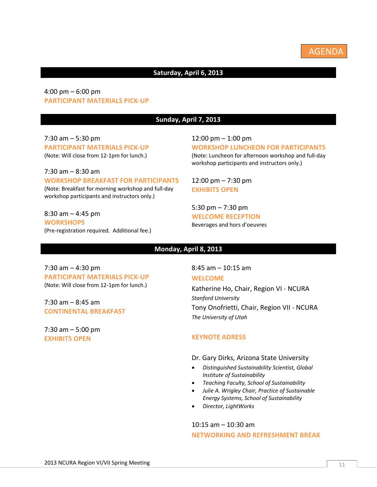

# **Saturday, April 6, 2013**

# 4:00 pm – 6:00 pm **PARTICIPANT MATERIALS PICK‐UP**

### **Sunday, April 7, 2013**

7:30 am – 5:30 pm **PARTICIPANT MATERIALS PICK‐UP** (Note: Will close from 12‐1pm for lunch.)

7:30 am – 8:30 am **WORKSHOP BREAKFAST FOR PARTICIPANTS** (Note: Breakfast for morning workshop and full‐day workshop participants and instructors only.)

8:30 am – 4:45 pm **WORKSHOPS** (Pre‐registration required. Additional fee.)

#### 12:00 pm – 1:00 pm **WORKSHOP LUNCHEON FOR PARTICIPANTS** (Note: Luncheon for afternoon workshop and full‐day workshop participants and instructors only.)

12:00 pm – 7:30 pm **EXHIBITS OPEN**

5:30 pm – 7:30 pm **WELCOME RECEPTION** Beverages and hors d'oeuvres

#### **Monday, April 8, 2013**

7:30 am – 4:30 pm **PARTICIPANT MATERIALS PICK‐UP** (Note: Will close from 12‐1pm for lunch.)

 $7:30$  am  $-8:45$  am **CONTINENTAL BREAKFAST**

7:30 am – 5:00 pm **EXHIBITS OPEN**

8:45 am – 10:15 am

#### **WELCOME**

Katherine Ho, Chair, Region VI ‐ NCURA *Stanford University* Tony Onofrietti, Chair, Region VII ‐ NCURA *The University of Utah*

#### **KEYNOTE ADRESS**

- Dr. Gary Dirks, Arizona State University
- *Distinguished Sustainability Scientist, Global Institute of Sustainability*
- *Teaching Faculty, School of Sustainability*
- *Julie A. Wrigley Chair, Practice of Sustainable Energy Systems, School of Sustainability*
- *Director, LightWorks*

# 10:15 am – 10:30 am **NETWORKING AND REFRESHMENT BREAK**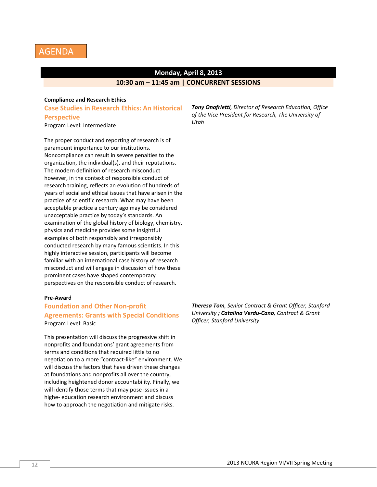

# **Monday, April 8, 2013 10:30 am – 11:45 am | CONCURRENT SESSIONS**

#### **Compliance and Research Ethics**

**Case Studies in Research Ethics: An Historical Perspective** Program Level: Intermediate

The proper conduct and reporting of research is of paramount importance to our institutions. Noncompliance can result in severe penalties to the organization, the individual(s), and their reputations. The modern definition of research misconduct however, in the context of responsible conduct of research training, reflects an evolution of hundreds of years of social and ethical issues that have arisen in the practice of scientific research. What may have been acceptable practice a century ago may be considered unacceptable practice by today's standards. An examination of the global history of biology, chemistry, physics and medicine provides some insightful examples of both responsibly and irresponsibly conducted research by many famous scientists. In this highly interactive session, participants will become familiar with an international case history of research misconduct and will engage in discussion of how these prominent cases have shaped contemporary perspectives on the responsible conduct of research.

#### **Pre‐Award**

# **Foundation and Other Non‐profit Agreements: Grants with Special Conditions** Program Level: Basic

This presentation will discuss the progressive shift in nonprofits and foundations' grant agreements from terms and conditions that required little to no negotiation to a more "contract‐like" environment. We will discuss the factors that have driven these changes at foundations and nonprofits all over the country, including heightened donor accountability. Finally, we will identify those terms that may pose issues in a highe‐ education research environment and discuss how to approach the negotiation and mitigate risks.

*Tony Onofrietti, Director of Research Education, Office of the Vice President for Research, The University of Utah*

*Theresa Tom, Senior Contract & Grant Officer, Stanford University ; Catalina Verdu‐Cano, Contract & Grant Officer, Stanford University*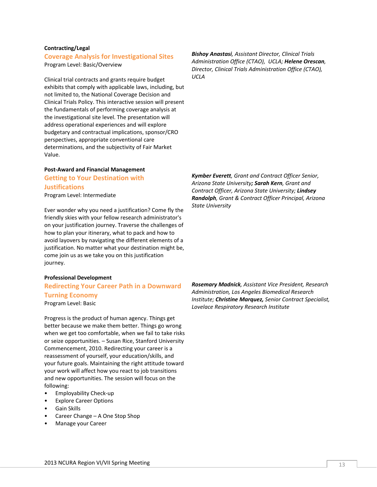#### **Contracting/Legal**

#### **Coverage Analysis for Investigational Sites**

Program Level: Basic/Overview

Clinical trial contracts and grants require budget exhibits that comply with applicable laws, including, but not limited to, the National Coverage Decision and Clinical Trials Policy. This interactive session will present the fundamentals of performing coverage analysis at the investigational site level. The presentation will address operational experiences and will explore budgetary and contractual implications, sponsor/CRO perspectives, appropriate conventional care determinations, and the subjectivity of Fair Market Value.

#### **Post‐Award and Financial Management Getting to Your Destination with**

# **Justifications**

Program Level: Intermediate

Ever wonder why you need a justification? Come fly the friendly skies with your fellow research administrator's on your justification journey. Traverse the challenges of how to plan your itinerary, what to pack and how to avoid layovers by navigating the different elements of a justification. No matter what your destination might be, come join us as we take you on this justification journey.

#### **Professional Development**

# **Redirecting Your Career Path in a Downward Turning Economy**

Program Level: Basic

Progress is the product of human agency. Things get better because we make them better. Things go wrong when we get too comfortable, when we fail to take risks or seize opportunities. – Susan Rice, Stanford University Commencement, 2010. Redirecting your career is a reassessment of yourself, your education/skills, and your future goals. Maintaining the right attitude toward your work will affect how you react to job transitions and new opportunities. The session will focus on the following:

- Employability Check-up
- **Explore Career Options**
- Gain Skills
- Career Change A One Stop Shop
- Manage your Career

*Bishoy Anastasi, Assistant Director, Clinical Trials Administration Office (CTAO), UCLA; Helene Orescan, Director, Clinical Trials Administration Office (CTAO), UCLA* 

*Kymber Everett, Grant and Contract Officer Senior, Arizona State University; Sarah Kern, Grant and Contract Officer, Arizona State University; Lindsey Randolph, Grant & Contract Officer Principal, Arizona State University*

*Rosemary Madnick, Assistant Vice President, Research Administration, Los Angeles Biomedical Research Institute; Christine Marquez, Senior Contract Specialist, Lovelace Respiratory Research Institute*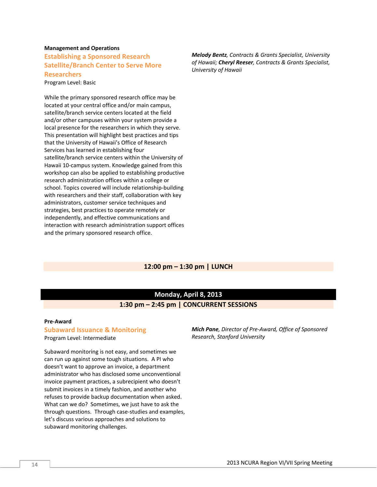#### **Management and Operations**

**Establishing a Sponsored Research Satellite/Branch Center to Serve More Researchers** Program Level: Basic

While the primary sponsored research office may be located at your central office and/or main campus, satellite/branch service centers located at the field and/or other campuses within your system provide a local presence for the researchers in which they serve. This presentation will highlight best practices and tips that the University of Hawaii's Office of Research Services has learned in establishing four satellite/branch service centers within the University of Hawaii 10‐campus system. Knowledge gained from this workshop can also be applied to establishing productive research administration offices within a college or school. Topics covered will include relationship‐building with researchers and their staff, collaboration with key administrators, customer service techniques and strategies, best practices to operate remotely or independently, and effective communications and interaction with research administration support offices and the primary sponsored research office.

*Melody Bentz, Contracts & Grants Specialist, University of Hawaii; Cheryl Reeser, Contracts & Grants Specialist, University of Hawaii*

#### **12:00 pm – 1:30 pm | LUNCH**

# **Monday, April 8, 2013 1:30 pm – 2:45 pm | CONCURRENT SESSIONS**

#### **Pre‐Award**

#### **Subaward Issuance & Monitoring**

Program Level: Intermediate

Subaward monitoring is not easy, and sometimes we can run up against some tough situations. A PI who doesn't want to approve an invoice, a department administrator who has disclosed some unconventional invoice payment practices, a subrecipient who doesn't submit invoices in a timely fashion, and another who refuses to provide backup documentation when asked. What can we do? Sometimes, we just have to ask the through questions. Through case‐studies and examples, let's discuss various approaches and solutions to subaward monitoring challenges.

*Mich Pane, Director of Pre‐Award, Office of Sponsored Research, Stanford University*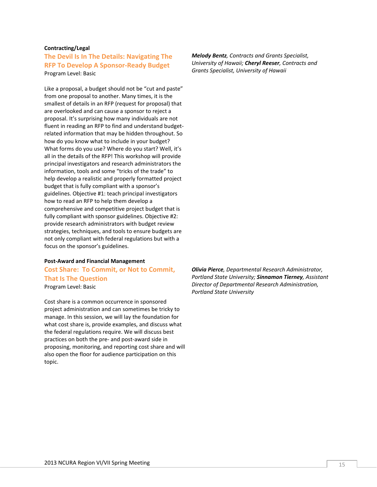#### **Contracting/Legal**

# **The Devil Is In The Details: Navigating The RFP To Develop A Sponsor‐Ready Budget** Program Level: Basic

Like a proposal, a budget should not be "cut and paste" from one proposal to another. Many times, it is the smallest of details in an RFP (request for proposal) that are overlooked and can cause a sponsor to reject a proposal. It's surprising how many individuals are not fluent in reading an RFP to find and understand budget‐ related information that may be hidden throughout. So how do you know what to include in your budget? What forms do you use? Where do you start? Well, it's all in the details of the RFP! This workshop will provide principal investigators and research administrators the information, tools and some "tricks of the trade" to help develop a realistic and properly formatted project budget that is fully compliant with a sponsor's guidelines. Objective #1: teach principal investigators how to read an RFP to help them develop a comprehensive and competitive project budget that is fully compliant with sponsor guidelines. Objective #2: provide research administrators with budget review strategies, techniques, and tools to ensure budgets are not only compliant with federal regulations but with a focus on the sponsor's guidelines.

#### **Post‐Award and Financial Management**

**Cost Share: To Commit, or Not to Commit, That Is The Question** Program Level: Basic

Cost share is a common occurrence in sponsored project administration and can sometimes be tricky to manage. In this session, we will lay the foundation for what cost share is, provide examples, and discuss what the federal regulations require. We will discuss best practices on both the pre‐ and post‐award side in proposing, monitoring, and reporting cost share and will also open the floor for audience participation on this topic.

*Melody Bentz, Contracts and Grants Specialist, University of Hawaii; Cheryl Reeser, Contracts and Grants Specialist, University of Hawaii*

*Olivia Pierce, Departmental Research Administrator, Portland State University; Sinnamon Tierney, Assistant Director of Departmental Research Administration, Portland State University*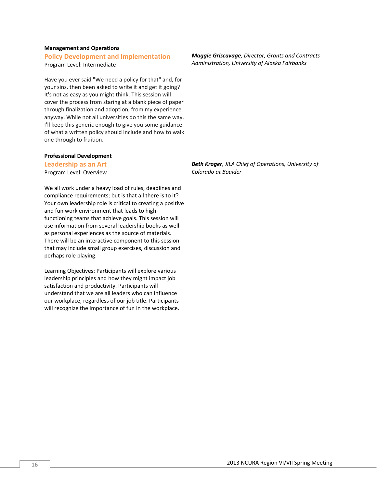#### **Management and Operations**

# **Policy Development and Implementation**

Program Level: Intermediate

Have you ever said "We need a policy for that" and, for your sins, then been asked to write it and get it going? It's not as easy as you might think. This session will cover the process from staring at a blank piece of paper through finalization and adoption, from my experience anyway. While not all universities do this the same way, I'll keep this generic enough to give you some guidance of what a written policy should include and how to walk one through to fruition.

#### **Professional Development**

#### **Leadership as an Art**

Program Level: Overview

We all work under a heavy load of rules, deadlines and compliance requirements; but is that all there is to it? Your own leadership role is critical to creating a positive and fun work environment that leads to high‐ functioning teams that achieve goals. This session will use information from several leadership books as well as personal experiences as the source of materials. There will be an interactive component to this session that may include small group exercises, discussion and perhaps role playing.

Learning Objectives: Participants will explore various leadership principles and how they might impact job satisfaction and productivity. Participants will understand that we are all leaders who can influence our workplace, regardless of our job title. Participants will recognize the importance of fun in the workplace. *Maggie Griscavage, Director, Grants and Contracts Administration, University of Alaska Fairbanks*

*Beth Kroger, JILA Chief of Operations, University of Colorado at Boulder*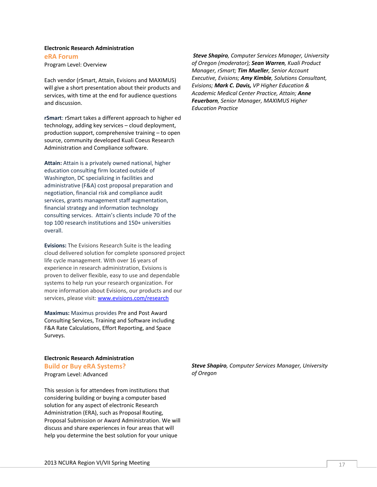#### **Electronic Research Administration eRA Forum** Program Level: Overview

Each vendor (rSmart, Attain, Evisions and MAXIMUS) will give a short presentation about their products and services, with time at the end for audience questions and discussion.

**rSmart**: rSmart takes a different approach to higher ed technology, adding key services – cloud deployment, production support, comprehensive training – to open source, community developed Kuali Coeus Research Administration and Compliance software.

**Attain:** Attain is a privately owned national, higher education consulting firm located outside of Washington, DC specializing in facilities and administrative (F&A) cost proposal preparation and negotiation, financial risk and compliance audit services, grants management staff augmentation, financial strategy and information technology consulting services. Attain's clients include 70 of the top 100 research institutions and 150+ universities overall.

**Evisions:** The Evisions Research Suite is the leading cloud delivered solution for complete sponsored project life cycle management. With over 16 years of experience in research administration, Evisions is proven to deliver flexible, easy to use and dependable systems to help run your research organization. For more information about Evisions, our products and our services, please visit: www.evisions.com/research

**Maximus:** Maximus provides Pre and Post Award Consulting Services, Training and Software including F&A Rate Calculations, Effort Reporting, and Space Surveys.

#### **Electronic Research Administration Build or Buy eRA Systems?** Program Level: Advanced

This session is for attendees from institutions that considering building or buying a computer based solution for any aspect of electronic Research Administration (ERA), such as Proposal Routing, Proposal Submission or Award Administration. We will discuss and share experiences in four areas that will help you determine the best solution for your unique

*Steve Shapiro, Computer Services Manager, University of Oregon (moderator); Sean Warren, Kuali Product Manager, rSmart; Tim Mueller, Senior Account Executive, Evisions; Amy Kimble, Solutions Consultant, Evisions; Mark C. Davis, VP Higher Education & Academic Medical Center Practice, Attain; Anne Feuerborn, Senior Manager, MAXIMUS Higher Education Practice*

*Steve Shapiro, Computer Services Manager, University of Oregon*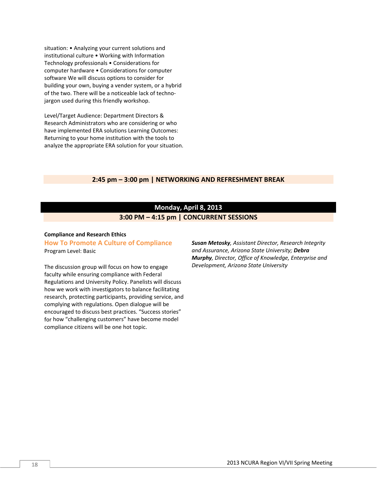situation: • Analyzing your current solutions and institutional culture • Working with Information Technology professionals • Considerations for computer hardware • Considerations for computer software We will discuss options to consider for building your own, buying a vender system, or a hybrid of the two. There will be a noticeable lack of techno‐ jargon used during this friendly workshop.

Level/Target Audience: Department Directors & Research Administrators who are considering or who have implemented ERA solutions Learning Outcomes: Returning to your home institution with the tools to analyze the appropriate ERA solution for your situation.

#### **2:45 pm – 3:00 pm | NETWORKING AND REFRESHMENT BREAK**

# **Monday, April 8, 2013 3:00 PM – 4:15 pm | CONCURRENT SESSIONS**

#### **Compliance and Research Ethics**

#### **How To Promote A Culture of Compliance** Program Level: Basic

The discussion group will focus on how to engage faculty while ensuring compliance with Federal Regulations and University Policy. Panelists will discuss how we work with investigators to balance facilitating research, protecting participants, providing service, and complying with regulations. Open dialogue will be encouraged to discuss best practices. "Success stories" for how "challenging customers" have become model compliance citizens will be one hot topic.

*Susan Metosky, Assistant Director, Research Integrity and Assurance, Arizona State University; Debra Murphy, Director, Office of Knowledge, Enterprise and Development, Arizona State University*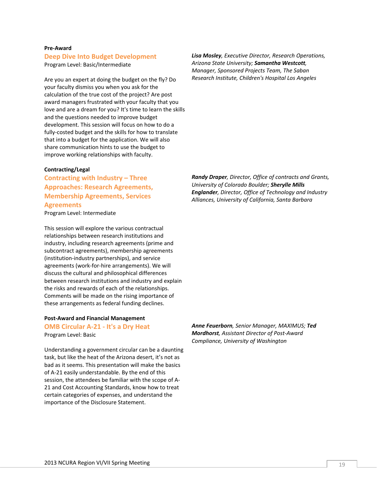#### 2013 NCURA Region VI/VII Spring Meeting 19

#### **Pre‐Award Deep Dive Into Budget Development**

Program Level: Basic/Intermediate

Are you an expert at doing the budget on the fly? Do your faculty dismiss you when you ask for the calculation of the true cost of the project? Are post award managers frustrated with your faculty that you love and are a dream for you? It's time to learn the skills and the questions needed to improve budget development. This session will focus on how to do a fully‐costed budget and the skills for how to translate that into a budget for the application. We will also share communication hints to use the budget to improve working relationships with faculty.

#### **Contracting/Legal**

**Contracting with Industry – Three Approaches: Research Agreements, Membership Agreements, Services Agreements**

Program Level: Intermediate

This session will explore the various contractual relationships between research institutions and industry, including research agreements (prime and subcontract agreements), membership agreements (institution‐industry partnerships), and service agreements (work‐for‐hire arrangements). We will discuss the cultural and philosophical differences between research institutions and industry and explain the risks and rewards of each of the relationships. Comments will be made on the rising importance of these arrangements as federal funding declines.

# **Post‐Award and Financial Management OMB Circular A‐21 ‐ It's a Dry Heat**

Program Level: Basic

Understanding a government circular can be a daunting task, but like the heat of the Arizona desert, it's not as bad as it seems. This presentation will make the basics of A‐21 easily understandable. By the end of this session, the attendees be familiar with the scope of A‐ 21 and Cost Accounting Standards, know how to treat certain categories of expenses, and understand the importance of the Disclosure Statement.

*Randy Draper, Director, Office of contracts and Grants, University of Colorado Boulder; Sherylle Mills Englander, Director, Office of Technology and Industry Alliances, University of California, Santa Barbara*

*Anne Feuerborn, Senior Manager, MAXIMUS; Ted Mordhorst, Assistant Director of Post‐Award Compliance, University of Washington*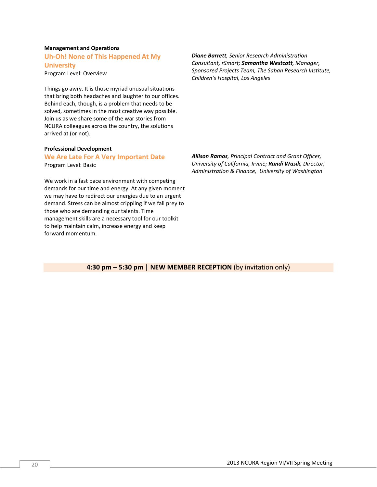#### **Management and Operations Uh‐Oh! None of This Happened At My**

**University**

Program Level: Overview

Things go awry. It is those myriad unusual situations that bring both headaches and laughter to our offices. Behind each, though, is a problem that needs to be solved, sometimes in the most creative way possible. Join us as we share some of the war stories from NCURA colleagues across the country, the solutions arrived at (or not).

#### **Professional Development**

#### **We Are Late For A Very Important Date** Program Level: Basic

We work in a fast pace environment with competing demands for our time and energy. At any given moment we may have to redirect our energies due to an urgent demand. Stress can be almost crippling if we fall prey to those who are demanding our talents. Time management skills are a necessary tool for our toolkit to help maintain calm, increase energy and keep forward momentum.

*Diane Barrett, Senior Research Administration Consultant, rSmart; Samantha Westcott, Manager, Sponsored Projects Team, The Saban Research Institute, Children's Hospital, Los Angeles*

*Allison Ramos, Principal Contract and Grant Officer, University of California, Irvine; Randi Wasik, Director, Administration & Finance, University of Washington*

**4:30 pm – 5:30 pm | NEW MEMBER RECEPTION** (by invitation only)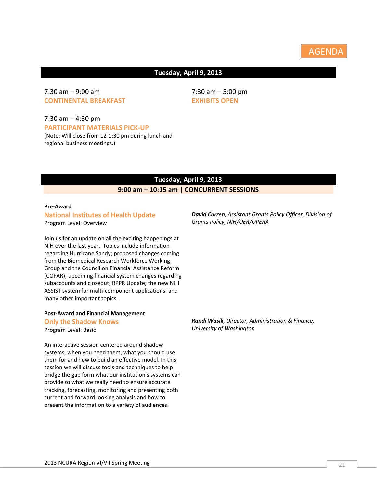# **Tuesday, April 9, 2013**

# 7:30 am – 9:00 am **CONTINENTAL BREAKFAST**

7:30 am – 4:30 pm **PARTICIPANT MATERIALS PICK‐UP** (Note: Will close from 12‐1:30 pm during lunch and regional business meetings.)

# **Tuesday, April 9, 2013**

# **9:00 am – 10:15 am | CONCURRENT SESSIONS**

# **Pre‐Award**

# **National Institutes of Health Update** Program Level: Overview

Join us for an update on all the exciting happenings at NIH over the last year. Topics include information regarding Hurricane Sandy; proposed changes coming from the Biomedical Research Workforce Working Group and the Council on Financial Assistance Reform (COFAR); upcoming financial system changes regarding subaccounts and closeout; RPPR Update; the new NIH ASSIST system for multi‐component applications; and many other important topics.

# **Post‐Award and Financial Management**

**Only the Shadow Knows** Program Level: Basic

An interactive session centered around shadow systems, when you need them, what you should use them for and how to build an effective model. In this session we will discuss tools and techniques to help bridge the gap form what our institution's systems can provide to what we really need to ensure accurate tracking, forecasting, monitoring and presenting both current and forward looking analysis and how to present the information to a variety of audiences.

*David Curren, Assistant Grants Policy Officer, Division of Grants Policy, NIH/OER/OPERA*

*Randi Wasik, Director, Administration & Finance, University of Washington*

7:30 am – 5:00 pm **EXHIBITS OPEN**

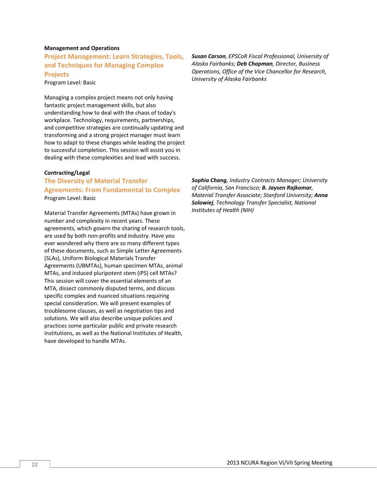#### **Management and Operations**

**Project Management: Learn Strategies, Tools, and Techniques for Managing Complex Projects**

Program Level: Basic

Managing a complex project means not only having fantastic project management skills, but also understanding how to deal with the chaos of today's workplace. Technology, requirements, partnerships, and competitive strategies are continually updating and transforming and a strong project manager must learn how to adapt to these changes while leading the project to successful completion. This session will assist you in dealing with these complexities and lead with success.

#### **Contracting/Legal**

# **The Diversity of Material Transfer Agreements: From Fundamental to Complex**  Program Level: Basic

Material Transfer Agreements (MTAs) have grown in number and complexity in recent years. These agreements, which govern the sharing of research tools, are used by both non‐profits and industry. Have you ever wondered why there are so many different types of these documents, such as Simple Letter Agreements (SLAs), Uniform Biological Materials Transfer Agreements (UBMTAs), human specimen MTAs, animal MTAs, and induced pluripotent stem (iPS) cell MTAs? This session will cover the essential elements of an MTA, dissect commonly disputed terms, and discuss specific complex and nuanced situations requiring special consideration. We will present examples of troublesome clauses, as well as negotiation tips and solutions. We will also describe unique policies and practices some particular public and private research institutions, as well as the National Institutes of Health, have developed to handle MTAs.

*Susan Carson, EPSCoR Fiscal Professional, University of Alaska Fairbanks; Deb Chapman, Director, Business Operations, Office of the Vice Chancellor for Research, University of Alaska Fairbanks*

*Sophia Chang, Industry Contracts Manager; University of California, San Francisco; B. Jaysen Rajkomar, Material Transfer Associate; Stanford University; Anna Solowiej, Technology Transfer Specialist, National Institutes of Health (NIH)*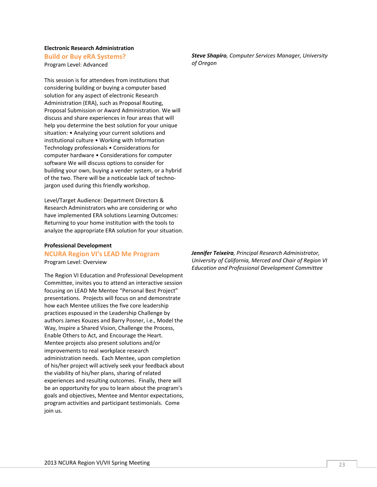#### **Electronic Research Administration Build or Buy eRA Systems?**

Program Level: Advanced

This session is for attendees from institutions that considering building or buying a computer based solution for any aspect of electronic Research Administration (ERA), such as Proposal Routing, Proposal Submission or Award Administration. We will discuss and share experiences in four areas that will help you determine the best solution for your unique situation: • Analyzing your current solutions and institutional culture • Working with Information Technology professionals • Considerations for computer hardware • Considerations for computer software We will discuss options to consider for building your own, buying a vender system, or a hybrid of the two. There will be a noticeable lack of techno‐ jargon used during this friendly workshop.

Level/Target Audience: Department Directors & Research Administrators who are considering or who have implemented ERA solutions Learning Outcomes: Returning to your home institution with the tools to analyze the appropriate ERA solution for your situation.

# **Professional Development**

#### **NCURA Region VI's LEAD Me Program** Program Level: Overview

The Region VI Education and Professional Development Committee, invites you to attend an interactive session focusing on LEAD Me Mentee "Personal Best Project" presentations. Projects will focus on and demonstrate how each Mentee utilizes the five core leadership practices espoused in the Leadership Challenge by authors James Kouzes and Barry Posner, i.e., Model the Way, Inspire a Shared Vision, Challenge the Process, Enable Others to Act, and Encourage the Heart. Mentee projects also present solutions and/or improvements to real workplace research administration needs. Each Mentee, upon completion of his/her project will actively seek your feedback about the viability of his/her plans, sharing of related experiences and resulting outcomes. Finally, there will be an opportunity for you to learn about the program's goals and objectives, Mentee and Mentor expectations, program activities and participant testimonials. Come join us.

*Steve Shapiro, Computer Services Manager, University of Oregon*

*Jennifer Teixeira, Principal Research Administrator, University of California, Merced and Chair of Region VI Education and Professional Development Committee*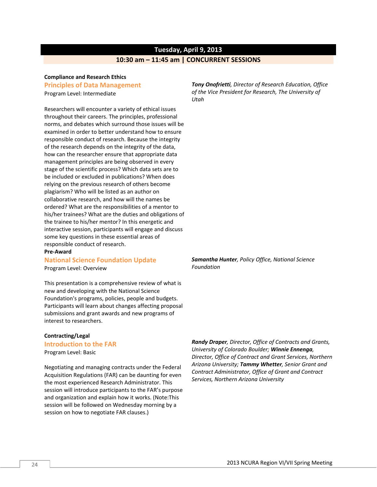# **Tuesday, April 9, 2013**

#### **10:30 am – 11:45 am | CONCURRENT SESSIONS**

#### **Compliance and Research Ethics**

#### **Principles of Data Management**

Program Level: Intermediate

Researchers will encounter a variety of ethical issues throughout their careers. The principles, professional norms, and debates which surround those issues will be examined in order to better understand how to ensure responsible conduct of research. Because the integrity of the research depends on the integrity of the data, how can the researcher ensure that appropriate data management principles are being observed in every stage of the scientific process? Which data sets are to be included or excluded in publications? When does relying on the previous research of others become plagiarism? Who will be listed as an author on collaborative research, and how will the names be ordered? What are the responsibilities of a mentor to his/her trainees? What are the duties and obligations of the trainee to his/her mentor? In this energetic and interactive session, participants will engage and discuss some key questions in these essential areas of responsible conduct of research.

#### **Pre‐Award**

#### **National Science Foundation Update**

Program Level: Overview

This presentation is a comprehensive review of what is new and developing with the National Science Foundation's programs, policies, people and budgets. Participants will learn about changes affecting proposal submissions and grant awards and new programs of interest to researchers.

#### **Contracting/Legal**

#### **Introduction to the FAR**

Program Level: Basic

Negotiating and managing contracts under the Federal Acquisition Regulations (FAR) can be daunting for even the most experienced Research Administrator. This session will introduce participants to the FAR's purpose and organization and explain how it works. (Note:This session will be followed on Wednesday morning by a session on how to negotiate FAR clauses.)

*Tony Onofrietti, Director of Research Education, Office of the Vice President for Research, The University of Utah*

*Samantha Hunter, Policy Office, National Science Foundation*

*Randy Draper, Director, Office of Contracts and Grants, University of Colorado Boulder; Winnie Ennenga, Director, Office of Contract and Grant Services, Northern Arizona University; Tammy Whetter, Senior Grant and Contract Administrator, Office of Grant and Contract Services, Northern Arizona University*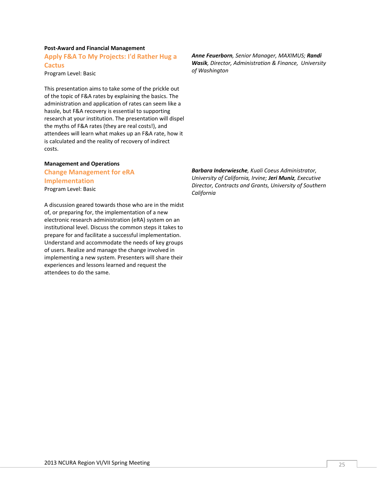# **Post‐Award and Financial Management**

**Apply F&A To My Projects: I'd Rather Hug a Cactus**

Program Level: Basic

This presentation aims to take some of the prickle out of the topic of F&A rates by explaining the basics. The administration and application of rates can seem like a hassle, but F&A recovery is essential to supporting research at your institution. The presentation will dispel the myths of F&A rates (they are real costs!), and attendees will learn what makes up an F&A rate, how it is calculated and the reality of recovery of indirect costs.

#### **Management and Operations**

# **Change Management for eRA Implementation** Program Level: Basic

A discussion geared towards those who are in the midst of, or preparing for, the implementation of a new electronic research administration (eRA) system on an institutional level. Discuss the common steps it takes to prepare for and facilitate a successful implementation. Understand and accommodate the needs of key groups of users. Realize and manage the change involved in implementing a new system. Presenters will share their experiences and lessons learned and request the attendees to do the same.

*Anne Feuerborn, Senior Manager, MAXIMUS; Randi Wasik, Director, Administration & Finance, University of Washington*

*Barbara Inderwiesche, Kuali Coeus Administrator, University of California, Irvine; Jeri Muniz, Executive Director, Contracts and Grants, University of Southern California*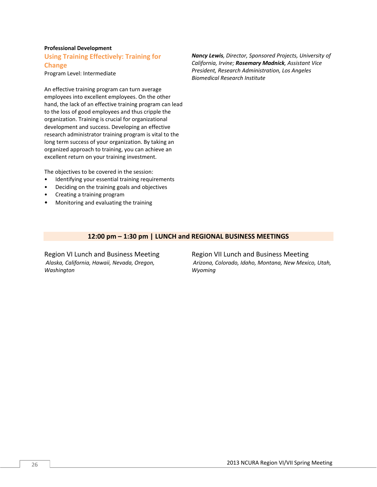#### **Professional Development**

**Using Training Effectively: Training for**

**Change** Program Level: Intermediate

An effective training program can turn average employees into excellent employees. On the other hand, the lack of an effective training program can lead to the loss of good employees and thus cripple the organization. Training is crucial for organizational development and success. Developing an effective research administrator training program is vital to the long term success of your organization. By taking an organized approach to training, you can achieve an excellent return on your training investment.

The objectives to be covered in the session:

- Identifying your essential training requirements
- Deciding on the training goals and objectives
- Creating a training program
- Monitoring and evaluating the training

*Nancy Lewis, Director, Sponsored Projects, University of California, Irvine; Rosemary Madnick, Assistant Vice President, Research Administration, Los Angeles Biomedical Research Institute*

### **12:00 pm – 1:30 pm | LUNCH and REGIONAL BUSINESS MEETINGS**

Region VI Lunch and Business Meeting *Alaska, California, Hawaii, Nevada, Oregon, Washington*

Region VII Lunch and Business Meeting *Arizona, Colorado, Idaho, Montana, New Mexico, Utah, Wyoming*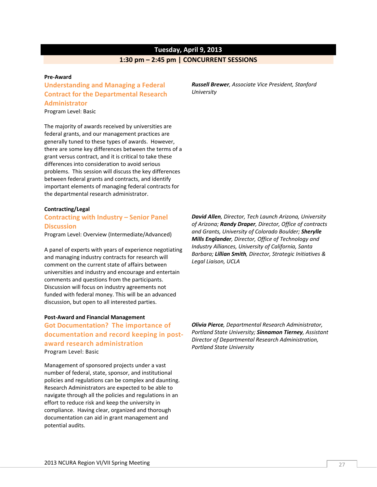# **Tuesday, April 9, 2013**

#### **1:30 pm – 2:45 pm | CONCURRENT SESSIONS**

#### **Pre‐Award**

# **Understanding and Managing a Federal Contract for the Departmental Research Administrator**

Program Level: Basic

The majority of awards received by universities are federal grants, and our management practices are generally tuned to these types of awards. However, there are some key differences between the terms of a grant versus contract, and it is critical to take these differences into consideration to avoid serious problems. This session will discuss the key differences between federal grants and contracts, and identify important elements of managing federal contracts for the departmental research administrator.

#### **Contracting/Legal**

#### **Contracting with Industry – Senior Panel Discussion**

Program Level: Overview (Intermediate/Advanced)

A panel of experts with years of experience negotiating and managing industry contracts for research will comment on the current state of affairs between universities and industry and encourage and entertain comments and questions from the participants. Discussion will focus on industry agreements not funded with federal money. This will be an advanced discussion, but open to all interested parties.

#### **Post‐Award and Financial Management**

**Got Documentation? The importance of documentation and record keeping in post‐ award research administration** Program Level: Basic

Management of sponsored projects under a vast number of federal, state, sponsor, and institutional policies and regulations can be complex and daunting. Research Administrators are expected to be able to navigate through all the policies and regulations in an effort to reduce risk and keep the university in compliance. Having clear, organized and thorough documentation can aid in grant management and potential audits.

*Russell Brewer, Associate Vice President, Stanford University*

*David Allen, Director, Tech Launch Arizona, University of Arizona; Randy Draper, Director, Office of contracts and Grants, University of Colorado Boulder; Sherylle Mills Englander, Director, Office of Technology and Industry Alliances, University of California, Santa Barbara; Lillian Smith, Director, Strategic Initiatives & Legal Liaison, UCLA*

*Olivia Pierce, Departmental Research Administrator, Portland State University; Sinnamon Tierney, Assistant Director of Departmental Research Administration, Portland State University*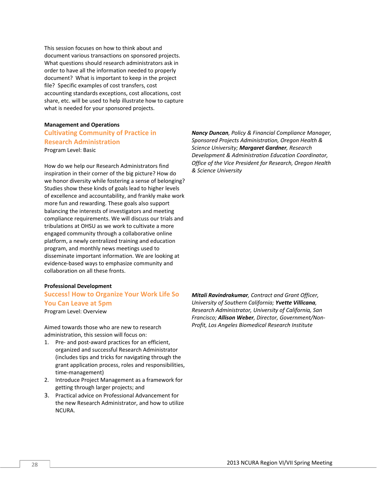This session focuses on how to think about and document various transactions on sponsored projects. What questions should research administrators ask in order to have all the information needed to properly document? What is important to keep in the project file? Specific examples of cost transfers, cost accounting standards exceptions, cost allocations, cost share, etc. will be used to help illustrate how to capture what is needed for your sponsored projects.

### **Management and Operations Cultivating Community of Practice in Research Administration** Program Level: Basic

How do we help our Research Administrators find inspiration in their corner of the big picture? How do we honor diversity while fostering a sense of belonging? Studies show these kinds of goals lead to higher levels of excellence and accountability, and frankly make work more fun and rewarding. These goals also support balancing the interests of investigators and meeting compliance requirements. We will discuss our trials and tribulations at OHSU as we work to cultivate a more engaged community through a collaborative online platform, a newly centralized training and education program, and monthly news meetings used to disseminate important information. We are looking at evidence‐based ways to emphasize community and collaboration on all these fronts.

#### **Professional Development**

# **Success! How to Organize Your Work Life So You Can Leave at 5pm**

Program Level: Overview

Aimed towards those who are new to research administration, this session will focus on:

- 1. Pre‐ and post‐award practices for an efficient, organized and successful Research Administrator (includes tips and tricks for navigating through the grant application process, roles and responsibilities, time‐management)
- 2. Introduce Project Management as a framework for getting through larger projects; and
- 3. Practical advice on Professional Advancement for the new Research Administrator, and how to utilize NCURA.

*Nancy Duncan, Policy & Financial Compliance Manager, Sponsored Projects Administration, Oregon Health & Science University; Margaret Gardner, Research Development & Administration Education Coordinator, Office of the Vice President for Research, Oregon Health & Science University*

*Mitali Ravindrakumar, Contract and Grant Officer, University of Southern California; Yvette Villicana, Research Administrator, University of California, San Francisco; Allison Weber, Director, Government/Non‐ Profit, Los Angeles Biomedical Research Institute*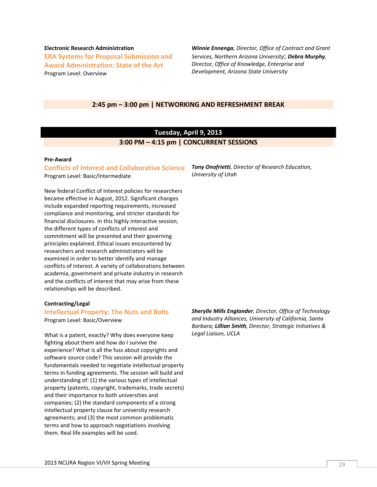**Electronic Research Administration ERA Systems for Proposal Submission and Award Administration: State of the Art** Program Level: Overview

*Winnie Ennenga, Director, Office of Contract and Grant Services, Northern Arizona University*; *Debra Murphy, Director, Office of Knowledge, Enterprise and Development, Arizona State University*

#### **2:45 pm – 3:00 pm | NETWORKING AND REFRESHMENT BREAK**

# **Tuesday, April 9, 2013 3:00 PM – 4:15 pm | CONCURRENT SESSIONS**

#### **Pre‐Award**

# **Conflicts of Interest and Collaborative Science**

Program Level: Basic/Intermediate

New federal Conflict of Interest policies for researchers became effective in August, 2012. Significant changes include expanded reporting requirements, increased compliance and monitoring, and stricter standards for financial disclosures. In this highly interactive session, the different types of conflicts of interest and commitment will be presented and their governing principles explained. Ethical issues encountered by researchers and research administrators will be examined in order to better identify and manage conflicts of interest. A variety of collaborations between academia, government and private industry in research and the conflicts of interest that may arise from these relationships will be described.

#### **Contracting/Legal**

#### **Intellectual Property: The Nuts and Bolts**

Program Level: Basic/Overview

What is a patent, exactly? Why does everyone keep fighting about them and how do I survive the experience? What is all the fuss about copyrights and software source code? This session will provide the fundamentals needed to negotiate intellectual property terms in funding agreements. The session will build and understanding of: (1) the various types of intellectual property (patents, copyright, trademarks, trade secrets) and their importance to both universities and companies; (2) the standard components of a strong intellectual property clause for university research agreements; and (3) the most common problematic terms and how to approach negotiations involving them. Real life examples will be used.

*Tony Onofrietti, Director of Research Education, University of Utah*

*Sherylle Mills Englander, Director, Office of Technology and Industry Alliances, University of California, Santa Barbara; Lillian Smith, Director, Strategic Initiatives & Legal Liaison, UCLA*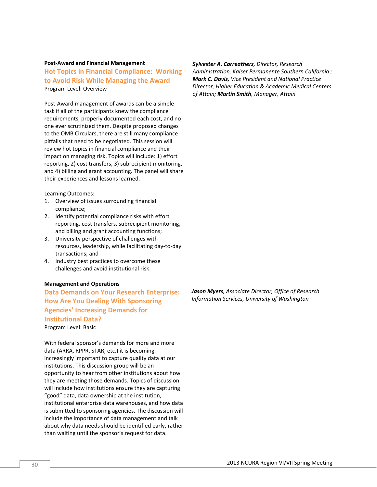#### **Post‐Award and Financial Management**

**Hot Topics in Financial Compliance: Working to Avoid Risk While Managing the Award** Program Level: Overview

Post‐Award management of awards can be a simple task if all of the participants knew the compliance requirements, properly documented each cost, and no one ever scrutinized them. Despite proposed changes to the OMB Circulars, there are still many compliance pitfalls that need to be negotiated. This session will review hot topics in financial compliance and their impact on managing risk. Topics will include: 1) effort reporting, 2) cost transfers, 3) subrecipient monitoring, and 4) billing and grant accounting. The panel will share their experiences and lessons learned.

Learning Outcomes:

- 1. Overview of issues surrounding financial compliance;
- 2. Identify potential compliance risks with effort reporting, cost transfers, subrecipient monitoring, and billing and grant accounting functions;
- 3. University perspective of challenges with resources, leadership, while facilitating day‐to‐day transactions; and
- 4. Industry best practices to overcome these challenges and avoid institutional risk.

#### **Management and Operations**

**Data Demands on Your Research Enterprise: How Are You Dealing With Sponsoring Agencies' Increasing Demands for Institutional Data?** Program Level: Basic

With federal sponsor's demands for more and more data (ARRA, RPPR, STAR, etc.) it is becoming increasingly important to capture quality data at our institutions. This discussion group will be an opportunity to hear from other institutions about how they are meeting those demands. Topics of discussion will include how institutions ensure they are capturing "good" data, data ownership at the institution, institutional enterprise data warehouses, and how data is submitted to sponsoring agencies. The discussion will include the importance of data management and talk about why data needs should be identified early, rather than waiting until the sponsor's request for data.

*Sylvester A. Carreathers, Director, Research*

*Administration, Kaiser Permanente Southern California ; Mark C. Davis, Vice President and National Practice Director, Higher Education & Academic Medical Centers of Attain; Martin Smith, Manager, Attain*

*Jason Myers, Associate Director, Office of Research Information Services, University of Washington*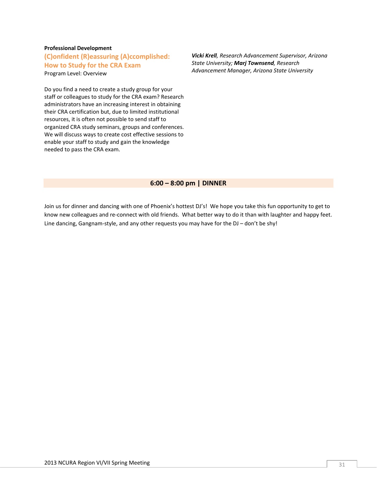#### **Professional Development**

**(C)onfident (R)eassuring (A)ccomplished: How to Study for the CRA Exam** Program Level: Overview

Do you find a need to create a study group for your staff or colleagues to study for the CRA exam? Research administrators have an increasing interest in obtaining their CRA certification but, due to limited institutional resources, it is often not possible to send staff to organized CRA study seminars, groups and conferences. We will discuss ways to create cost effective sessions to enable your staff to study and gain the knowledge needed to pass the CRA exam.

*Vicki Krell, Research Advancement Supervisor, Arizona State University; Marj Townsend, Research Advancement Manager, Arizona State University*

#### **6:00 – 8:00 pm | DINNER**

Join us for dinner and dancing with one of Phoenix's hottest DJ's! We hope you take this fun opportunity to get to know new colleagues and re-connect with old friends. What better way to do it than with laughter and happy feet. Line dancing, Gangnam-style, and any other requests you may have for the DJ – don't be shy!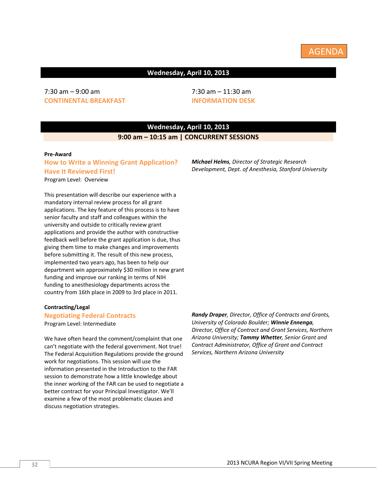# **Wednesday, April 10, 2013**

# 7:30 am – 9:00 am **CONTINENTAL BREAKFAST**

7:30 am – 11:30 am **INFORMATION DESK**

# **Wednesday, April 10, 2013 9:00 am – 10:15 am | CONCURRENT SESSIONS**

#### **Pre‐Award**

### **How to Write a Winning Grant Application? Have It Reviewed First!** Program Level: Overview

This presentation will describe our experience with a mandatory internal review process for all grant applications. The key feature of this process is to have senior faculty and staff and colleagues within the university and outside to critically review grant applications and provide the author with constructive feedback well before the grant application is due, thus giving them time to make changes and improvements before submitting it. The result of this new process, implemented two years ago, has been to help our department win approximately \$30 million in new grant funding and improve our ranking in terms of NIH funding to anesthesiology departments across the country from 16th place in 2009 to 3rd place in 2011.

#### **Contracting/Legal**

#### **Negotiating Federal Contracts**

Program Level: Intermediate

We have often heard the comment/complaint that one can't negotiate with the federal government. Not true! The Federal Acquisition Regulations provide the ground work for negotiations. This session will use the information presented in the Introduction to the FAR session to demonstrate how a little knowledge about the inner working of the FAR can be used to negotiate a better contract for your Principal Investigator. We'll examine a few of the most problematic clauses and discuss negotiation strategies.

*Randy Draper, Director, Office of Contracts and Grants, University of Colorado Boulder; Winnie Ennenga, Director, Office of Contract and Grant Services, Northern Arizona University; Tammy Whetter, Senior Grant and Contract Administrator, Office of Grant and Contract Services, Northern Arizona University*

*Michael Helms, Director of Strategic Research Development, Dept. of Anesthesia, Stanford University*

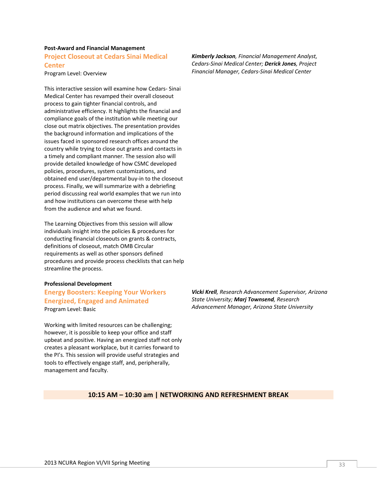#### **Post‐Award and Financial Management Project Closeout at Cedars Sinai Medical Center**

Program Level: Overview

This interactive session will examine how Cedars‐ Sinai Medical Center has revamped their overall closeout process to gain tighter financial controls, and administrative efficiency. It highlights the financial and compliance goals of the institution while meeting our close out matrix objectives. The presentation provides the background information and implications of the issues faced in sponsored research offices around the country while trying to close out grants and contacts in a timely and compliant manner. The session also will provide detailed knowledge of how CSMC developed policies, procedures, system customizations, and obtained end user/departmental buy‐in to the closeout process. Finally, we will summarize with a debriefing period discussing real world examples that we run into and how institutions can overcome these with help from the audience and what we found.

The Learning Objectives from this session will allow individuals insight into the policies & procedures for conducting financial closeouts on grants & contracts, definitions of closeout, match OMB Circular requirements as well as other sponsors defined procedures and provide process checklists that can help streamline the process.

#### **Professional Development**

# **Energy Boosters: Keeping Your Workers Energized, Engaged and Animated** Program Level: Basic

Working with limited resources can be challenging; however, it is possible to keep your office and staff upbeat and positive. Having an energized staff not only creates a pleasant workplace, but it carries forward to the PI's. This session will provide useful strategies and tools to effectively engage staff, and, peripherally, management and faculty.

*Kimberly Jackson, Financial Management Analyst, Cedars‐Sinai Medical Center; Derick Jones, Project Financial Manager, Cedars‐Sinai Medical Center*

*Vicki Krell, Research Advancement Supervisor, Arizona State University; Marj Townsend, Research Advancement Manager, Arizona State University*

#### **10:15 AM – 10:30 am | NETWORKING AND REFRESHMENT BREAK**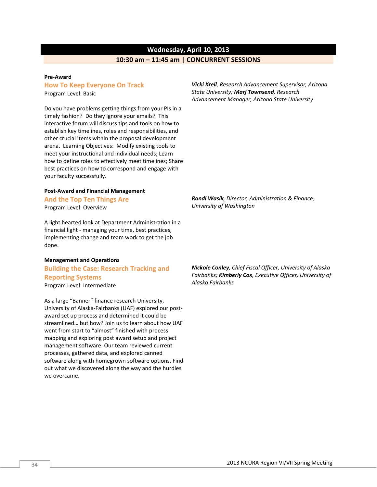# **Wednesday, April 10, 2013**

# **10:30 am – 11:45 am | CONCURRENT SESSIONS**

#### **Pre‐Award**

done.

#### **How To Keep Everyone On Track**

Program Level: Basic

Do you have problems getting things from your PIs in a timely fashion? Do they ignore your emails? This interactive forum will discuss tips and tools on how to establish key timelines, roles and responsibilities, and other crucial items within the proposal development arena. Learning Objectives: Modify existing tools to meet your instructional and individual needs; Learn how to define roles to effectively meet timelines; Share best practices on how to correspond and engage with your faculty successfully.

#### **Post‐Award and Financial Management**

**And the Top Ten Things Are** Program Level: Overview

A light hearted look at Department Administration in a financial light ‐ managing your time, best practices, implementing change and team work to get the job

# **Management and Operations Building the Case: Research Tracking and Reporting Systems** Program Level: Intermediate

As a large "Banner" finance research University, University of Alaska‐Fairbanks (UAF) explored our post‐ award set up process and determined it could be streamlined… but how? Join us to learn about how UAF went from start to "almost" finished with process mapping and exploring post award setup and project management software. Our team reviewed current processes, gathered data, and explored canned software along with homegrown software options. Find out what we discovered along the way and the hurdles we overcame.

*Vicki Krell, Research Advancement Supervisor, Arizona State University; Marj Townsend, Research Advancement Manager, Arizona State University*

*Randi Wasik, Director, Administration & Finance, University of Washington*

*Nickole Conley, Chief Fiscal Officer, University of Alaska Fairbanks; Kimberly Cox, Executive Officer, University of Alaska Fairbanks*